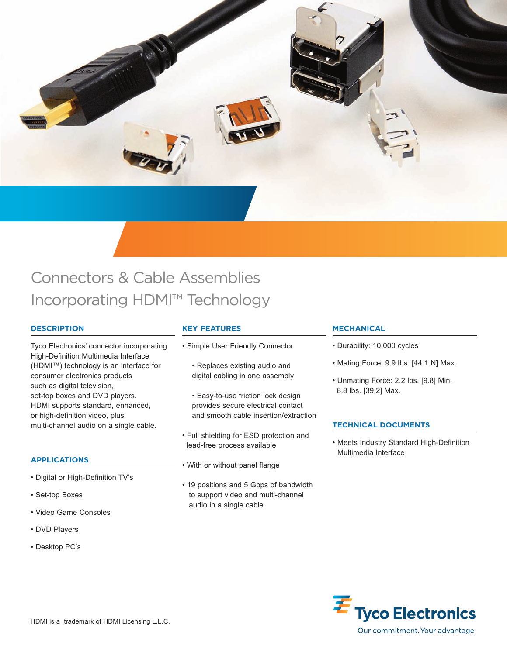

# Connectors & Cable Assemblies Incorporating HDMI™ Technology

# **DESCRIPTION**

Tyco Electronics' connector incorporating High-Definition Multimedia Interface (HDMI™) technology is an interface for consumer electronics products such as digital television, set-top boxes and DVD players. HDMI supports standard, enhanced, or high-definition video, plus multi-channel audio on a single cable.

# **APPLICATIONS**

- Digital or High-Definition TV's
- Set-top Boxes
- Video Game Consoles
- DVD Players
- Desktop PC's

# **KEY FEATURES**

- Simple User Friendly Connector
	- Replaces existing audio and digital cabling in one assembly
	- Easy-to-use friction lock design provides secure electrical contact and smooth cable insertion/extraction
- Full shielding for ESD protection and lead-free process available
- With or without panel flange
- 19 positions and 5 Gbps of bandwidth to support video and multi-channel audio in a single cable

# **MECHANICAL**

- Durability: 10.000 cycles
- Mating Force: 9.9 lbs. [44.1 N] Max.
- Unmating Force: 2.2 lbs. [9.8] Min. 8.8 lbs. [39.2] Max.

# **TECHNICAL DOCUMENTS**

• Meets Industry Standard High-Definition Multimedia Interface

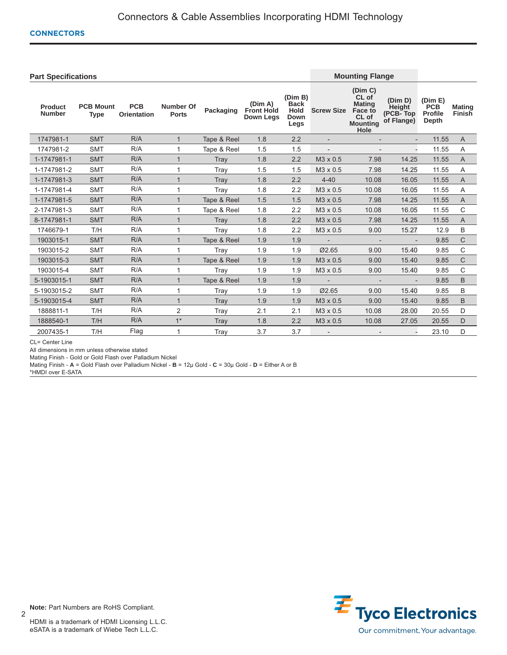## **CONNECTORS**

| <b>Part Specifications</b>      |                                 |                                  |                                  |             |                                                  |                                                       | <b>Mounting Flange</b>   |                                                                                         |                                             |                                                  |                                |
|---------------------------------|---------------------------------|----------------------------------|----------------------------------|-------------|--------------------------------------------------|-------------------------------------------------------|--------------------------|-----------------------------------------------------------------------------------------|---------------------------------------------|--------------------------------------------------|--------------------------------|
| <b>Product</b><br><b>Number</b> | <b>PCB Mount</b><br><b>Type</b> | <b>PCB</b><br><b>Orientation</b> | <b>Number Of</b><br><b>Ports</b> | Packaging   | (Dim A)<br><b>Front Hold</b><br><b>Down Leas</b> | (Dim B)<br><b>Back</b><br><b>Hold</b><br>Down<br>Legs | <b>Screw Size</b>        | (Dim C)<br>CL of<br><b>Mating</b><br><b>Face to</b><br>CL of<br><b>Mounting</b><br>Hole | (Dim D)<br>Height<br>(PCB-Top<br>of Flange) | (Dim E)<br><b>PCB</b><br><b>Profile</b><br>Depth | <b>Mating</b><br><b>Finish</b> |
| 1747981-1                       | <b>SMT</b>                      | R/A                              | $\mathbf{1}$                     | Tape & Reel | 1.8                                              | 2.2                                                   |                          |                                                                                         |                                             | 11.55                                            | $\overline{A}$                 |
| 1747981-2                       | <b>SMT</b>                      | R/A                              |                                  | Tape & Reel | 1.5                                              | 1.5                                                   | $\overline{\phantom{a}}$ |                                                                                         | $\overline{a}$                              | 11.55                                            | A                              |
| 1-1747981-1                     | <b>SMT</b>                      | R/A                              | 1                                | Tray        | 1.8                                              | 2.2                                                   | M3 x 0.5                 | 7.98                                                                                    | 14.25                                       | 11.55                                            | A                              |
| 1-1747981-2                     | <b>SMT</b>                      | R/A                              |                                  | Tray        | 1.5                                              | 1.5                                                   | M3 x 0.5                 | 7.98                                                                                    | 14.25                                       | 11.55                                            | A                              |
| 1-1747981-3                     | <b>SMT</b>                      | R/A                              | $\mathbf 1$                      | Trav        | 1.8                                              | 2.2                                                   | $4 - 40$                 | 10.08                                                                                   | 16.05                                       | 11.55                                            | $\overline{A}$                 |
| 1-1747981-4                     | <b>SMT</b>                      | R/A                              |                                  | Tray        | 1.8                                              | 2.2                                                   | M3 x 0.5                 | 10.08                                                                                   | 16.05                                       | 11.55                                            | A                              |
| 1-1747981-5                     | <b>SMT</b>                      | R/A                              |                                  | Tape & Reel | 1.5                                              | 1.5                                                   | M3 x 0.5                 | 7.98                                                                                    | 14.25                                       | 11.55                                            | A                              |
| 2-1747981-3                     | <b>SMT</b>                      | R/A                              |                                  | Tape & Reel | 1.8                                              | 2.2                                                   | M3 x 0.5                 | 10.08                                                                                   | 16.05                                       | 11.55                                            | C                              |
| 8-1747981-1                     | <b>SMT</b>                      | R/A                              | $\overline{1}$                   | Trav        | 1.8                                              | 2.2                                                   | M3 x 0.5                 | 7.98                                                                                    | 14.25                                       | 11.55                                            | $\overline{A}$                 |
| 1746679-1                       | T/H                             | R/A                              |                                  | Tray        | 1.8                                              | 2.2                                                   | M3 x 0.5                 | 9.00                                                                                    | 15.27                                       | 12.9                                             | B                              |
| 1903015-1                       | <b>SMT</b>                      | R/A                              |                                  | Tape & Reel | 1.9                                              | 1.9                                                   | $\overline{\phantom{a}}$ |                                                                                         | $\overline{\phantom{a}}$                    | 9.85                                             | $\mathsf C$                    |
| 1903015-2                       | <b>SMT</b>                      | R/A                              |                                  | Tray        | 1.9                                              | 1.9                                                   | Ø2.65                    | 9.00                                                                                    | 15.40                                       | 9.85                                             | C                              |
| 1903015-3                       | <b>SMT</b>                      | R/A                              |                                  | Tape & Reel | 1.9                                              | 1.9                                                   | M3 x 0.5                 | 9.00                                                                                    | 15.40                                       | 9.85                                             | $\mathsf C$                    |
| 1903015-4                       | <b>SMT</b>                      | R/A                              |                                  | Tray        | 1.9                                              | 1.9                                                   | M3 x 0.5                 | 9.00                                                                                    | 15.40                                       | 9.85                                             | C                              |
| 5-1903015-1                     | <b>SMT</b>                      | R/A                              |                                  | Tape & Reel | 1.9                                              | 1.9                                                   | $\overline{\phantom{a}}$ |                                                                                         |                                             | 9.85                                             | B                              |
| 5-1903015-2                     | <b>SMT</b>                      | R/A                              | 1                                | Tray        | 1.9                                              | 1.9                                                   | Ø2.65                    | 9.00                                                                                    | 15.40                                       | 9.85                                             | B                              |
| 5-1903015-4                     | <b>SMT</b>                      | R/A                              | $\mathbf{1}$                     | Tray        | 1.9                                              | 1.9                                                   | M3 x 0.5                 | 9.00                                                                                    | 15.40                                       | 9.85                                             | B                              |
| 1888811-1                       | T/H                             | R/A                              | $\overline{2}$                   | Tray        | 2.1                                              | 2.1                                                   | M3 x 0.5                 | 10.08                                                                                   | 28.00                                       | 20.55                                            | D                              |
| 1888540-1                       | T/H                             | R/A                              | $1*$                             | Tray        | 1.8                                              | 2.2                                                   | M3 x 0.5                 | 10.08                                                                                   | 27.05                                       | 20.55                                            | D                              |
| 2007435-1                       | T/H                             | Flag                             |                                  | Tray        | 3.7                                              | 3.7                                                   | $\overline{\phantom{a}}$ |                                                                                         |                                             | 23.10                                            | D                              |

CL= Center Line

All dimensions in mm unless otherwise stated

Mating Finish - Gold or Gold Flash over Palladium Nickel

Mating Finish - **A** = Gold Flash over Palladium Nickel - **B** = 12µ Gold - **C** = 30µ Gold - **D** = Either A or B

\*HMDI over E-SATA



**Note:** Part Numbers are RoHS Compliant.

2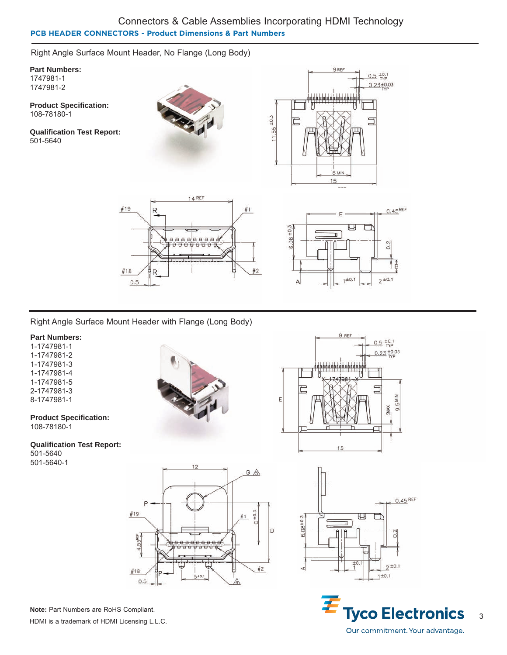# Connectors & Cable Assemblies Incorporating HDMI Technology **PCB HEADER CONNECTORS - Product Dimensions & Part Numbers**

Right Angle Surface Mount Header, No Flange (Long Body)

**Part Numbers:** 1747981-1 1747981-2

**Product Specification:** 108-78180-1

**Qualification Test Report:** 501-5640









Right Angle Surface Mount Header with Flange (Long Body)

# **Part Numbers:**

1-1747981-1 1-1747981-2 1-1747981-3 1-1747981-4 1-1747981-5 2-1747981-3 8-1747981-1

**Product Specification:**

108-78180-1

**Qualification Test Report:** 501-5640

501-5640-1







**Note:** Part Numbers are RoHS Compliant. HDMI is a trademark of HDMI Licensing L.L.C.



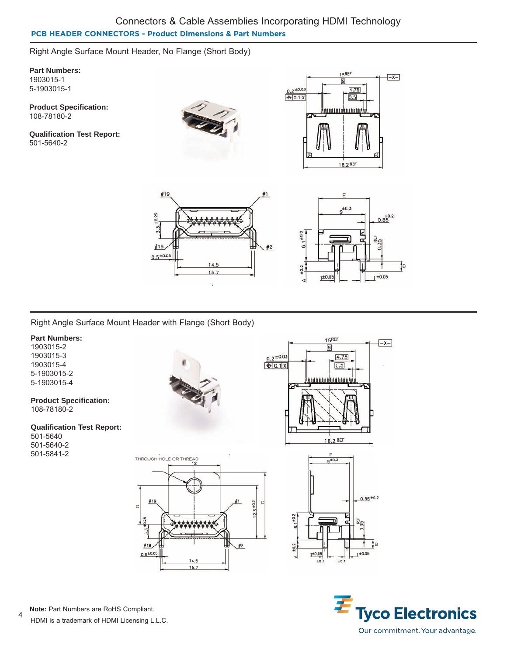# Connectors & Cable Assemblies Incorporating HDMI Technology **PCB HEADER CONNECTORS - Product Dimensions & Part Numbers**

Right Angle Surface Mount Header, No Flange (Short Body)

**Part Numbers:** 1903015-1 5-1903015-1

**Product Specification:** 108-78180-2

**Qualification Test Report:** 501-5640-2









Right Angle Surface Mount Header with Flange (Short Body)

# **Part Numbers:**

1903015-2 1903015-3 1903015-4 5-1903015-2 5-1903015-4

#### **Product Specification:** 108-78180-2

# **Qualification Test Report:**

501-5640 501-5640-2 501-5841-2











4 **Note:** Part Numbers are RoHS Compliant.

HDMI is a trademark of HDMI Licensing L.L.C.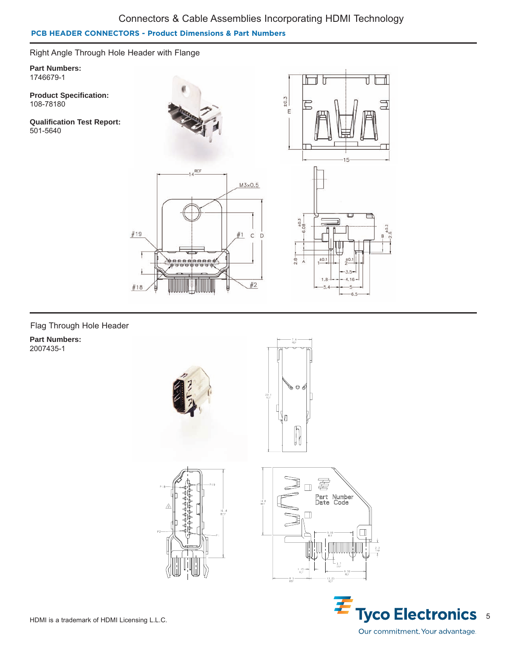# Connectors & Cable Assemblies Incorporating HDMI Technology

Π

सम

 $-6.5$ 

11.

# **PCB HEADER CONNECTORS - Product Dimensions & Part Numbers**

Right Angle Through Hole Header with Flange

**Part Numbers:** 1746679-1

**Product Specification:** 108-78180

**Qualification Test Report:** 501-5640



# Flag Through Hole Header

**Part Numbers:** 2007435-1









 $\frac{2}{2}$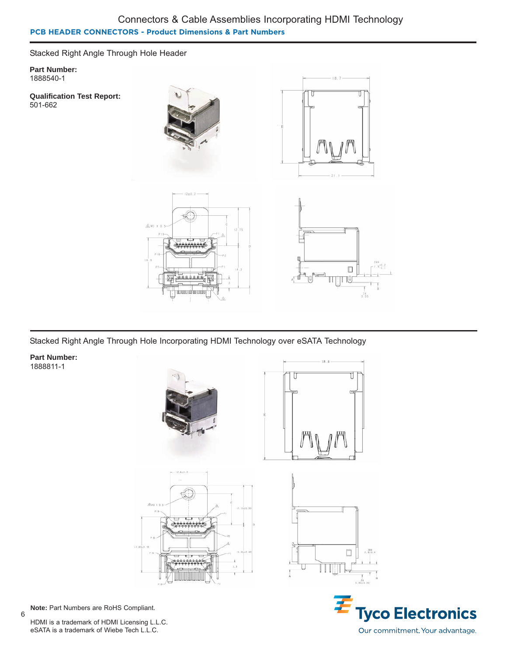# Connectors & Cable Assemblies Incorporating HDMI Technology **PCB HEADER CONNECTORS - Product Dimensions & Part Numbers**

Stacked Right Angle Through Hole Header

**Part Number:** 1888540-1

**Qualification Test Report:** 501-662



Stacked Right Angle Through Hole Incorporating HDMI Technology over eSATA Technology

**Part Number:** 1888811-1



**Note:** Part Numbers are RoHS Compliant.

6

HDMI is a trademark of HDMI Licensing L.L.C. eSATA is a trademark of Wiebe Tech L.L.C.

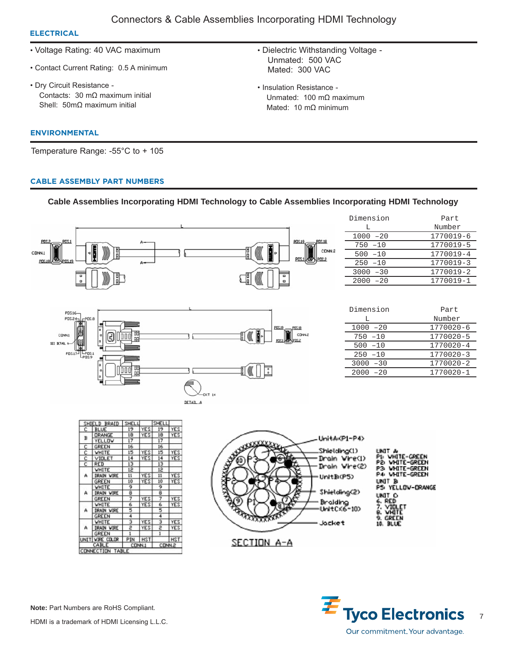• Dielectric Withstanding Voltage -

Unmated: 100 mΩ maximum Mated: 10 mΩ minimum

Unmated: 500 VAC Mated: 300 VAC

• Insulation Resistance -

# **ELECTRICAL**

- Voltage Rating: 40 VAC maximum
- Contact Current Rating: 0.5 A minimum
- Dry Circuit Resistance Contacts: 30 mΩ maximum initial Shell: 50mΩ maximum initial

### **ENVIRONMENTAL**

Temperature Range: -55°C to + 105

### **CABLE ASSEMBLY PART NUMBERS**

# **Cable Assemblies Incorporating HDMI Technology to Cable Assemblies Incorporating HDMI Technology**